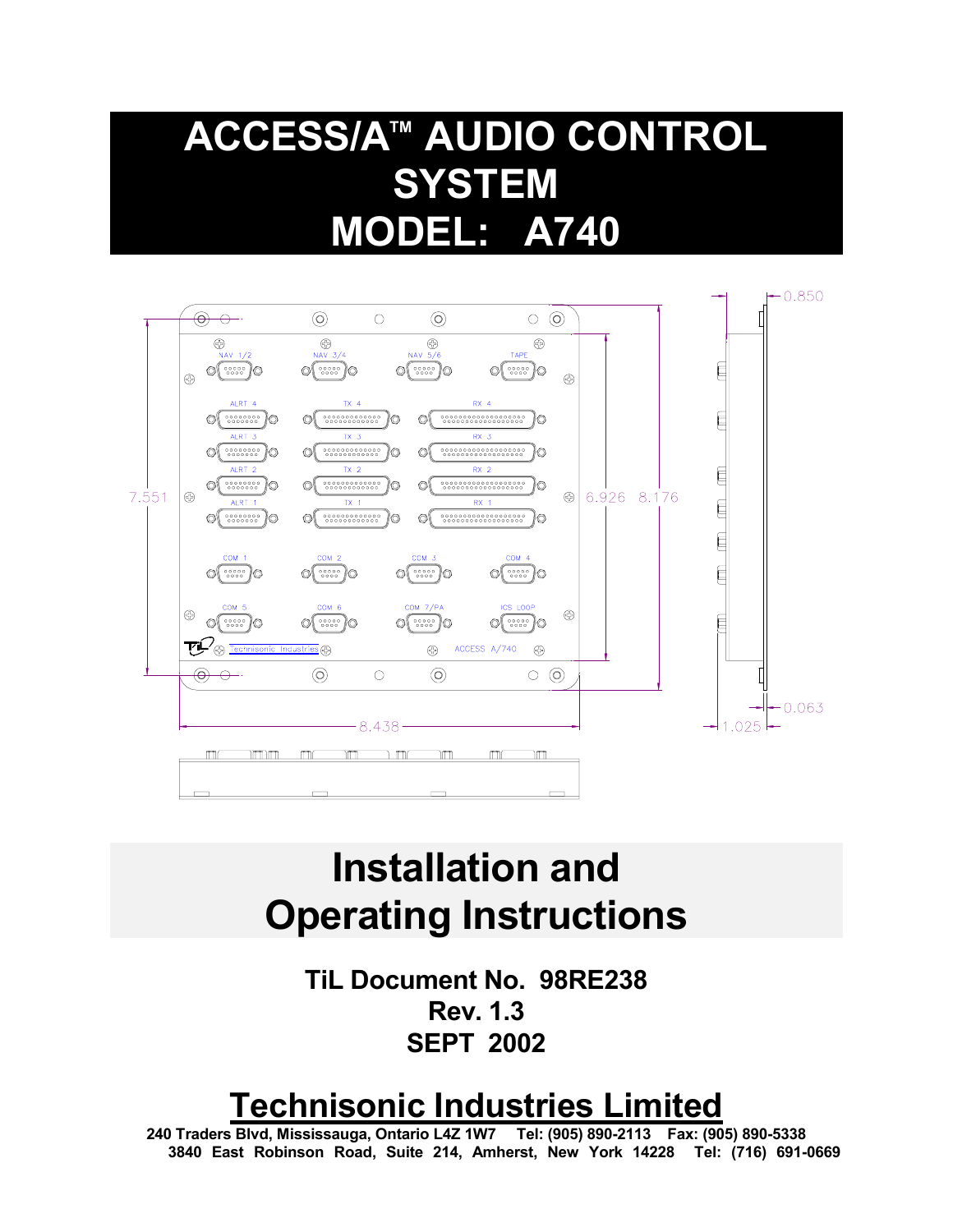# **ACCESS/ATM AUDIO CONTROL SYSTEM MODEL: A740**



# **Installation and Operating Instructions**

**TiL Document No. 98RE238 Rev. 1.3 SEPT 2002**

# **Technisonic Industries Limited**

 **240 Traders Blvd, Mississauga, Ontario L4Z 1W7 Tel: (905) 890-2113 Fax: (905) 890-5338 3840 East Robinson Road, Suite 214, Amherst, New York 14228 Tel: (716) 691-0669**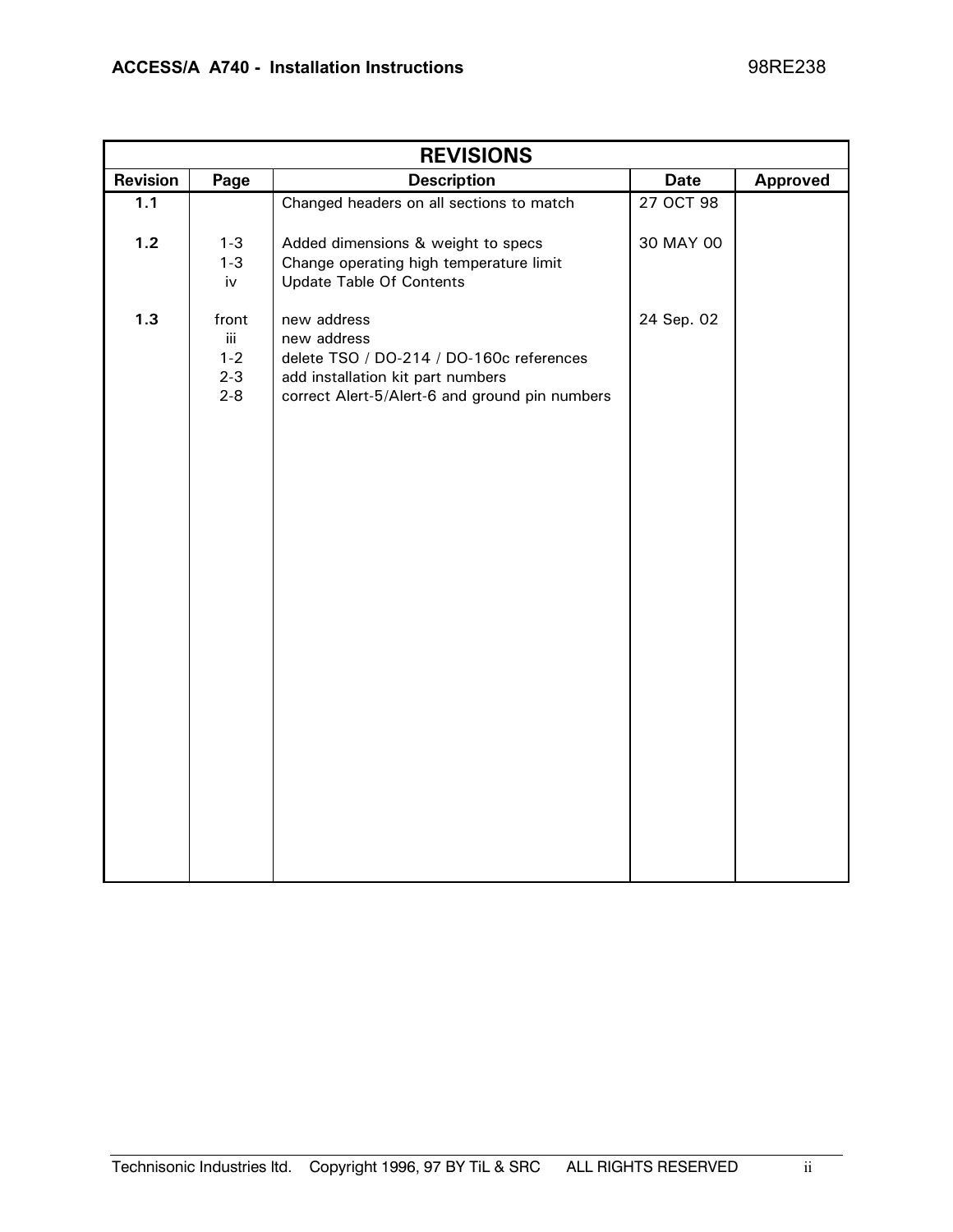| <b>REVISIONS</b> |                                               |                                                                                                                                                               |             |                 |  |
|------------------|-----------------------------------------------|---------------------------------------------------------------------------------------------------------------------------------------------------------------|-------------|-----------------|--|
| Revision         | Page                                          | <b>Description</b>                                                                                                                                            | <b>Date</b> | <b>Approved</b> |  |
| 1.1              |                                               | Changed headers on all sections to match                                                                                                                      | 27 OCT 98   |                 |  |
| $1.2$            | $1 - 3$<br>$1 - 3$<br>iv                      | Added dimensions & weight to specs<br>Change operating high temperature limit<br><b>Update Table Of Contents</b>                                              | 30 MAY 00   |                 |  |
| 1.3              | front<br>iii<br>$1 - 2$<br>$2 - 3$<br>$2 - 8$ | new address<br>new address<br>delete TSO / DO-214 / DO-160c references<br>add installation kit part numbers<br>correct Alert-5/Alert-6 and ground pin numbers | 24 Sep. 02  |                 |  |
|                  |                                               |                                                                                                                                                               |             |                 |  |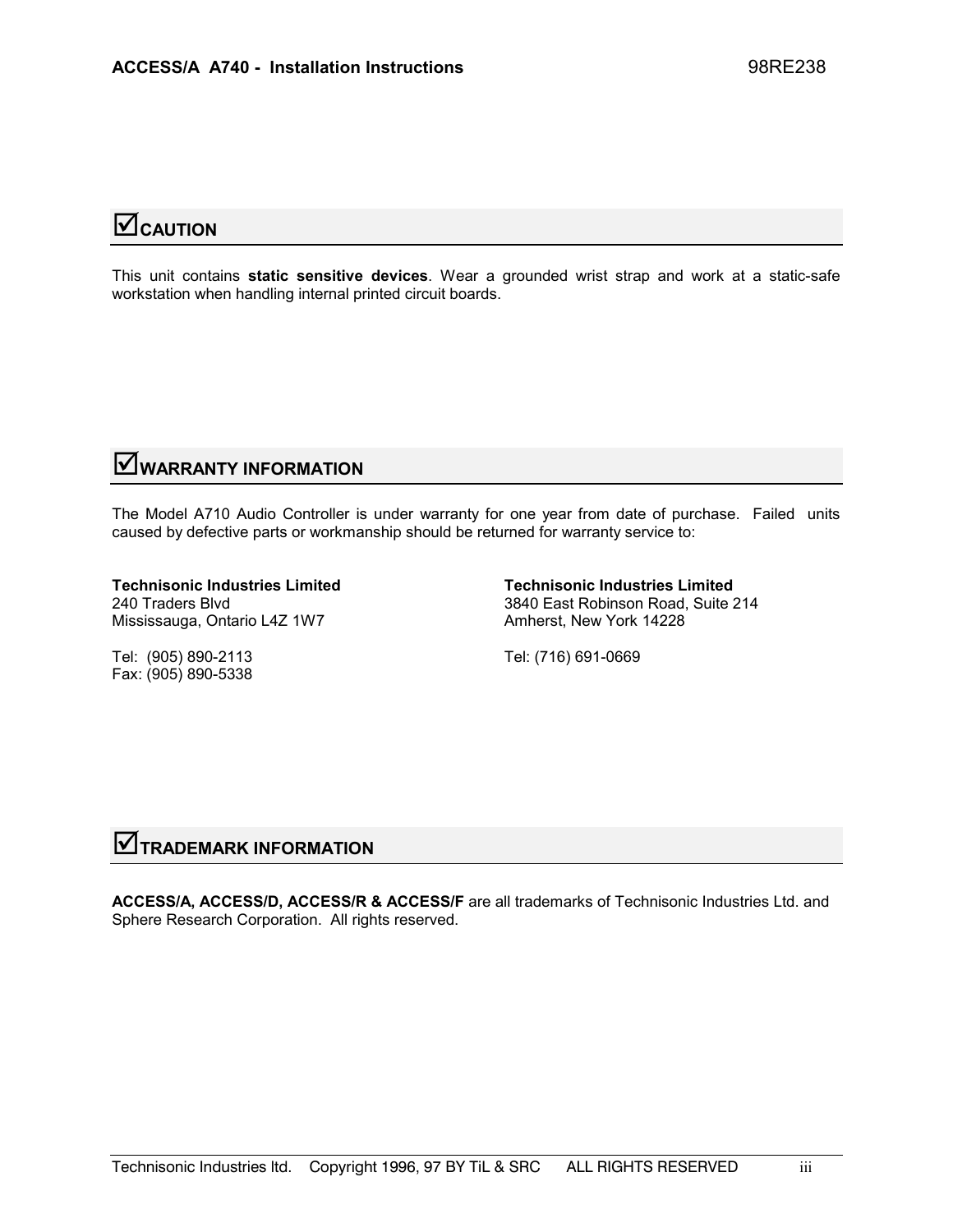# **Z**CAUTION

This unit contains **static sensitive devices**. Wear a grounded wrist strap and work at a static-safe workstation when handling internal printed circuit boards.

# ;**WARRANTY INFORMATION**

The Model A710 Audio Controller is under warranty for one year from date of purchase. Failed units caused by defective parts or workmanship should be returned for warranty service to:

**Technisonic Industries Limited Technisonic Industries Limited**  Mississauga, Ontario L4Z 1W7 Amherst, New York 14228

240 Traders Blvd 3840 East Robinson Road, Suite 214

Tel: (905) 890-2113 Tel: (716) 691-0669 Fax: (905) 890-5338

# **V** TRADEMARK INFORMATION

**ACCESS/A, ACCESS/D, ACCESS/R & ACCESS/F** are all trademarks of Technisonic Industries Ltd. and Sphere Research Corporation. All rights reserved.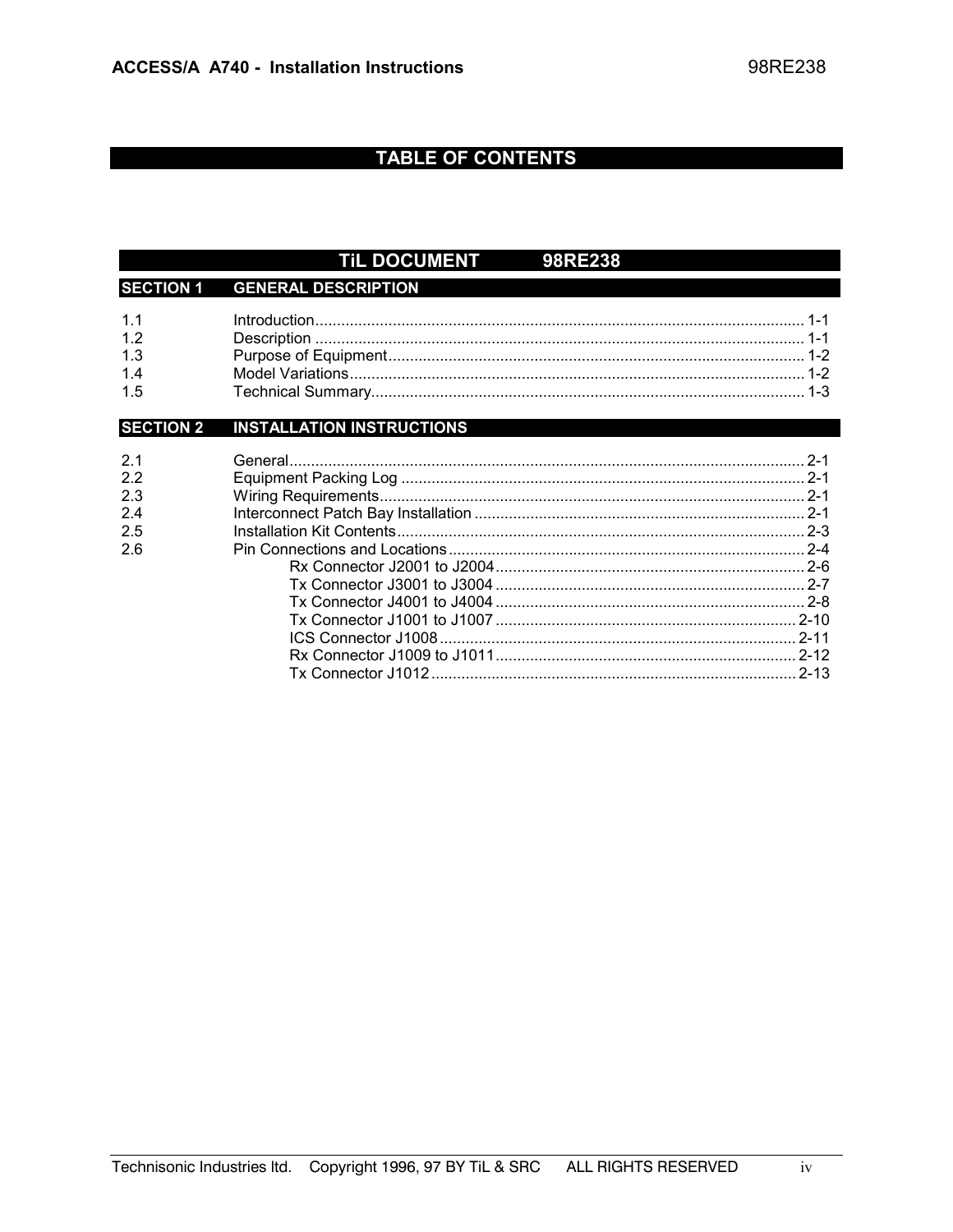### **TABLE OF CONTENTS**

#### TIL DOCUMENT 98RE238 **SECTION 1 GENERAL DESCRIPTION**  $11$  $1.2$  $1.3$  $1.4$  $1.5$ **INSTALLATION INSTRUCTIONS SECTION 2**  $2.1$  $2.2$  $2.3$  $2.4$  $2.5$  $26$ ICS Connector J1008 2-11

 $iv$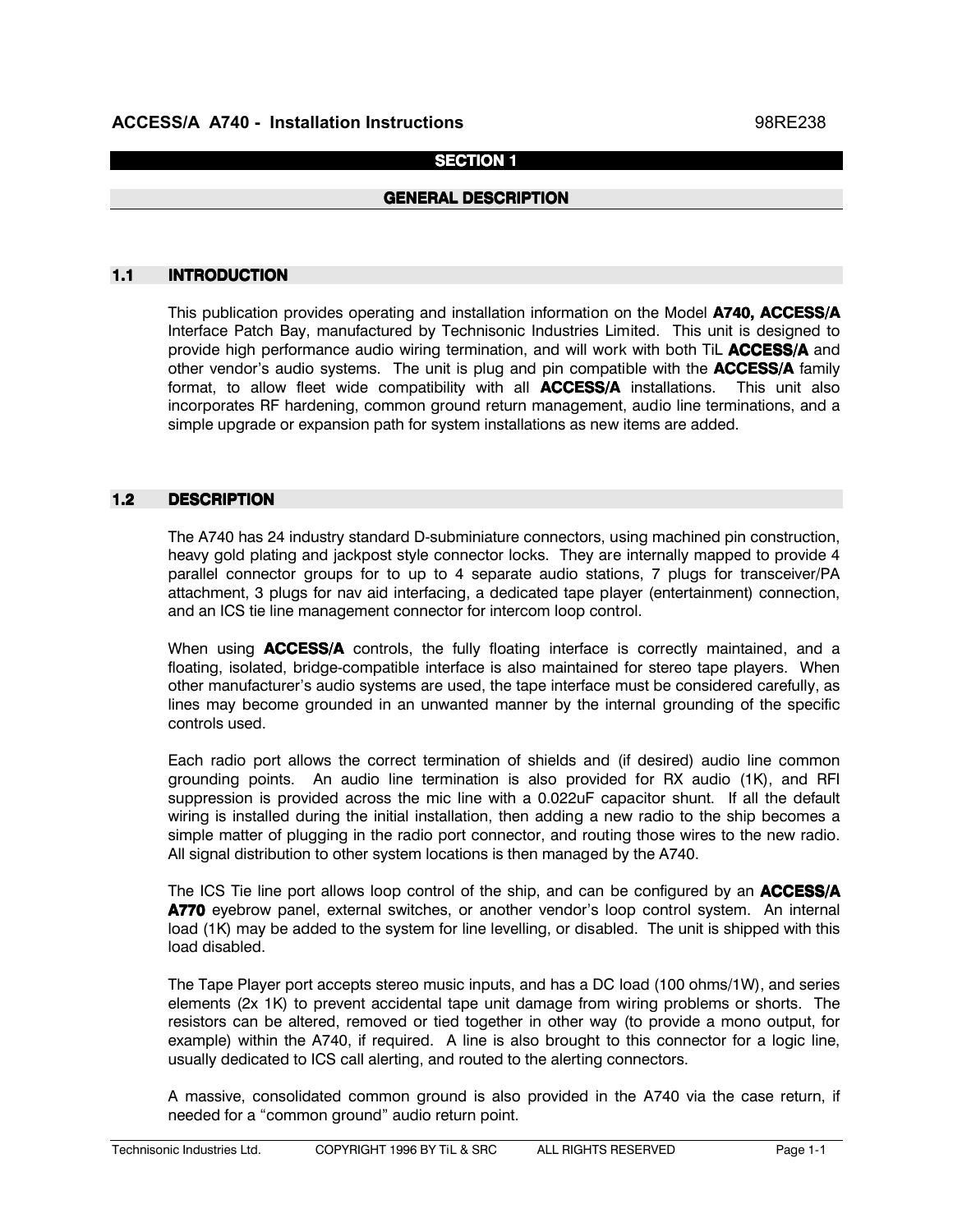### **SECTION 1**

### **GENERAL DESCRIPTION**

#### 1.1 INTRODUCTION

This publication provides operating and installation information on the Model A740, ACCESS/A Interface Patch Bay, manufactured by Technisonic Industries Limited. This unit is designed to provide high performance audio wiring termination, and will work with both TiL ACCESS/A and other vendor's audio systems. The unit is plug and pin compatible with the **ACCESS/A** family format, to allow fleet wide compatibility with all  $ACCESS/A$  installations. This unit also incorporates RF hardening, common ground return management, audio line terminations, and a simple upgrade or expansion path for system installations as new items are added.

### 1.2 DESCRIPTION

The A740 has 24 industry standard D-subminiature connectors, using machined pin construction, heavy gold plating and jackpost style connector locks. They are internally mapped to provide 4 parallel connector groups for to up to 4 separate audio stations, 7 plugs for transceiver/PA attachment, 3 plugs for nav aid interfacing, a dedicated tape player (entertainment) connection, and an ICS tie line management connector for intercom loop control.

When using **ACCESS/A** controls, the fully floating interface is correctly maintained, and a floating, isolated, bridge-compatible interface is also maintained for stereo tape players. When other manufacturer's audio systems are used, the tape interface must be considered carefully, as lines may become grounded in an unwanted manner by the internal grounding of the specific controls used.

Each radio port allows the correct termination of shields and (if desired) audio line common grounding points. An audio line termination is also provided for RX audio  $(1K)$ , and RFI suppression is provided across the mic line with a 0.022uF capacitor shunt. If all the default wiring is installed during the initial installation, then adding a new radio to the ship becomes a simple matter of plugging in the radio port connector, and routing those wires to the new radio. All signal distribution to other system locations is then managed by the A740.

The ICS Tie line port allows loop control of the ship, and can be configured by an **ACCESS/A** A770 eyebrow panel, external switches, or another vendor's loop control system. An internal load (1K) may be added to the system for line levelling, or disabled. The unit is shipped with this load disabled.

The Tape Player port accepts stereo music inputs, and has a DC load (100 ohms/1W), and series elements (2x 1K) to prevent accidental tape unit damage from wiring problems or shorts. The resistors can be altered, removed or tied together in other way (to provide a mono output, for example) within the A740, if required. A line is also brought to this connector for a logic line, usually dedicated to ICS call alerting, and routed to the alerting connectors.

A massive, consolidated common ground is also provided in the A740 via the case return, if needed for a "common ground" audio return point.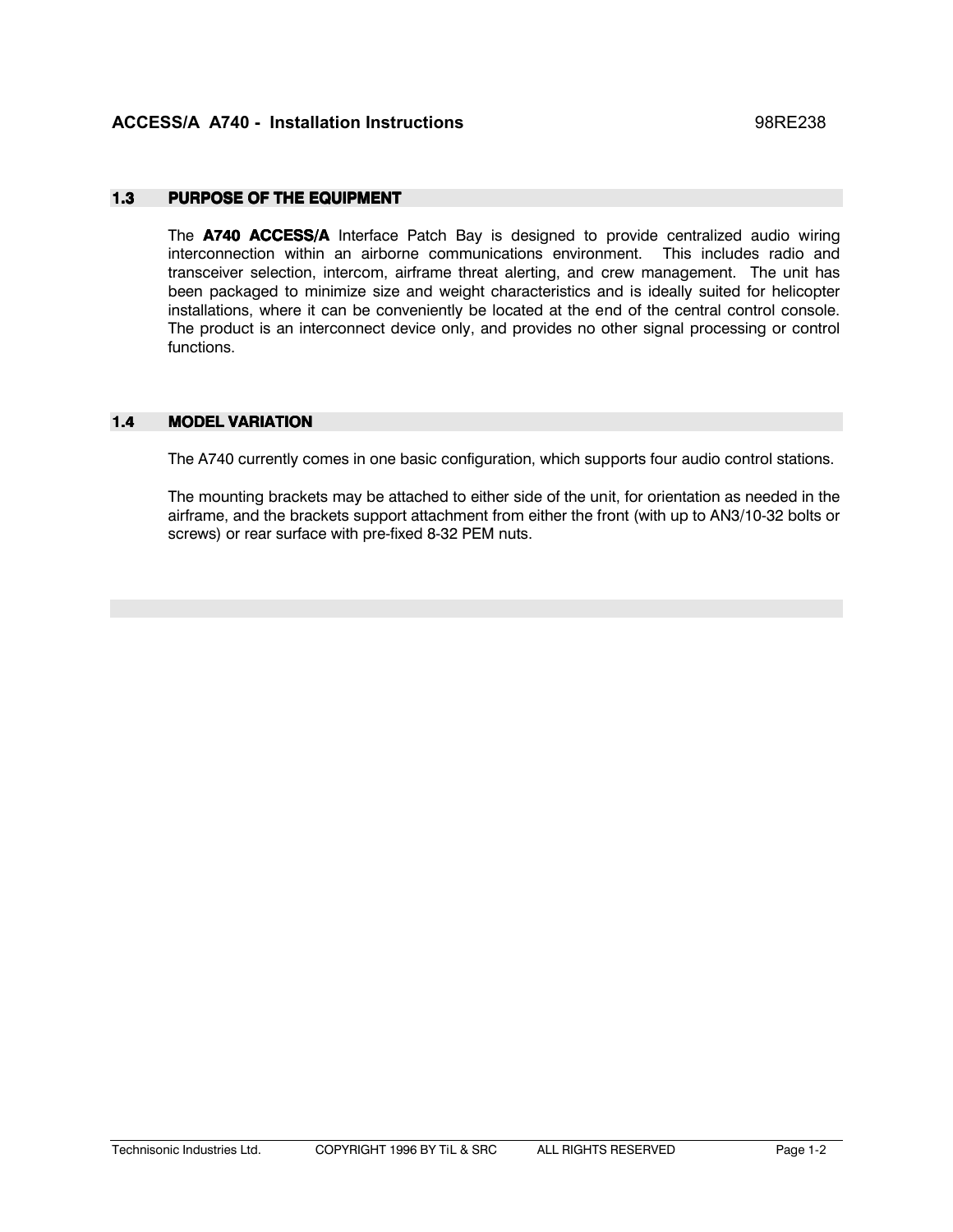#### $1.3$ **PURPOSE OF THE EQUIPMENT**

The A740 ACCESS/A Interface Patch Bay is designed to provide centralized audio wiring interconnection within an airborne communications environment. This includes radio and transceiver selection, intercom, airframe threat alerting, and crew management. The unit has been packaged to minimize size and weight characteristics and is ideally suited for helicopter installations, where it can be conveniently be located at the end of the central control console. The product is an interconnect device only, and provides no other signal processing or control functions

#### $1.4$ **MODEL VARIATION**

The A740 currently comes in one basic configuration, which supports four audio control stations.

The mounting brackets may be attached to either side of the unit, for orientation as needed in the airframe, and the brackets support attachment from either the front (with up to AN3/10-32 bolts or screws) or rear surface with pre-fixed 8-32 PEM nuts.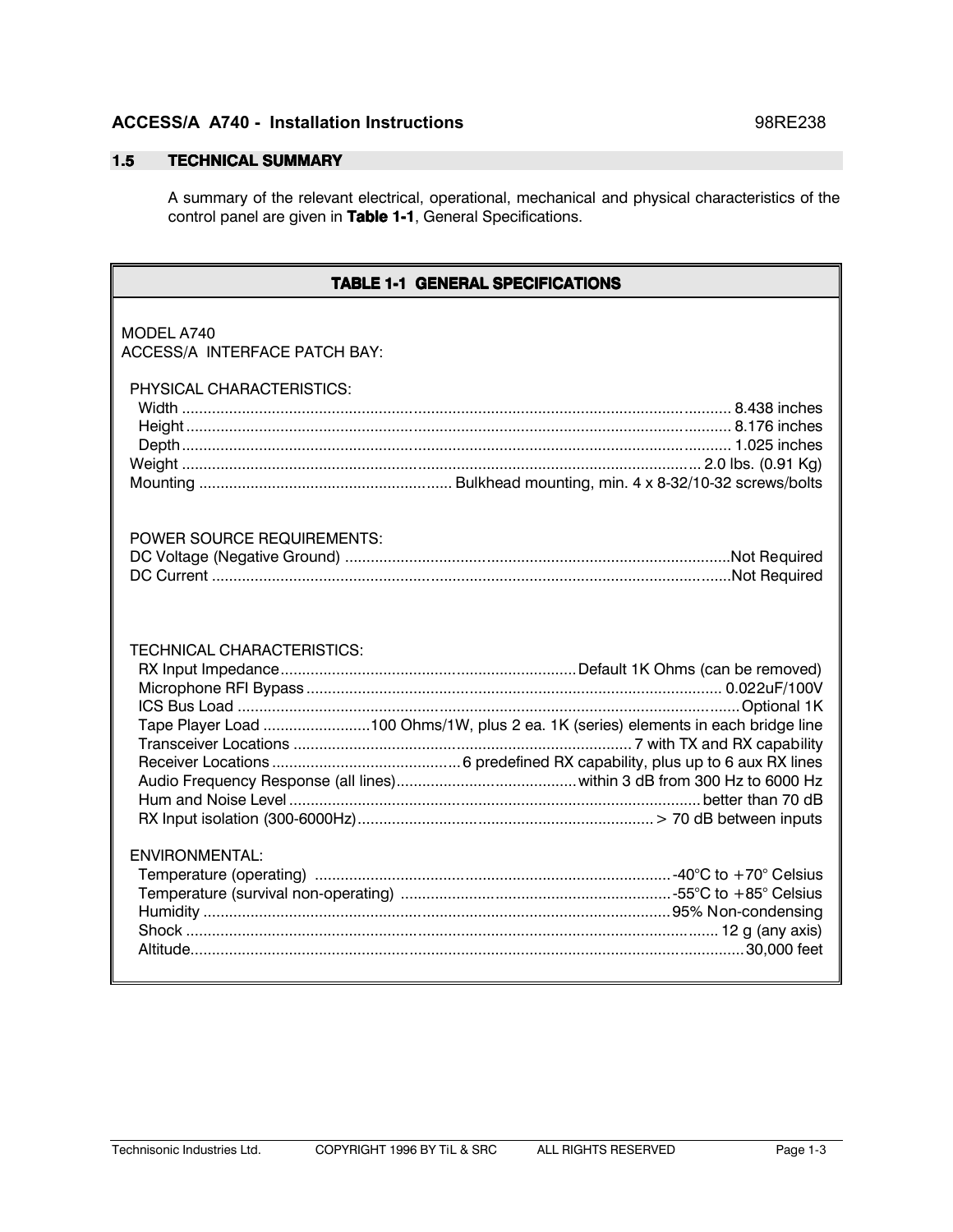### **ACCESS/A A740 - Installation Instructions**

#### $1.5$ **TECHNICAL SUMMARY**

A summary of the relevant electrical, operational, mechanical and physical characteristics of the control panel are given in Table 1-1, General Specifications.

| <b>TABLE 1-1 GENERAL SPECIFICATIONS</b>                                                                                |
|------------------------------------------------------------------------------------------------------------------------|
| MODEL A740<br>ACCESS/A INTERFACE PATCH BAY:                                                                            |
| PHYSICAL CHARACTERISTICS:                                                                                              |
| <b>POWER SOURCE REQUIREMENTS:</b>                                                                                      |
| <b>TECHNICAL CHARACTERISTICS:</b><br>Tape Player Load 100 Ohms/1W, plus 2 ea. 1K (series) elements in each bridge line |
| ENVIRONMENTAL:                                                                                                         |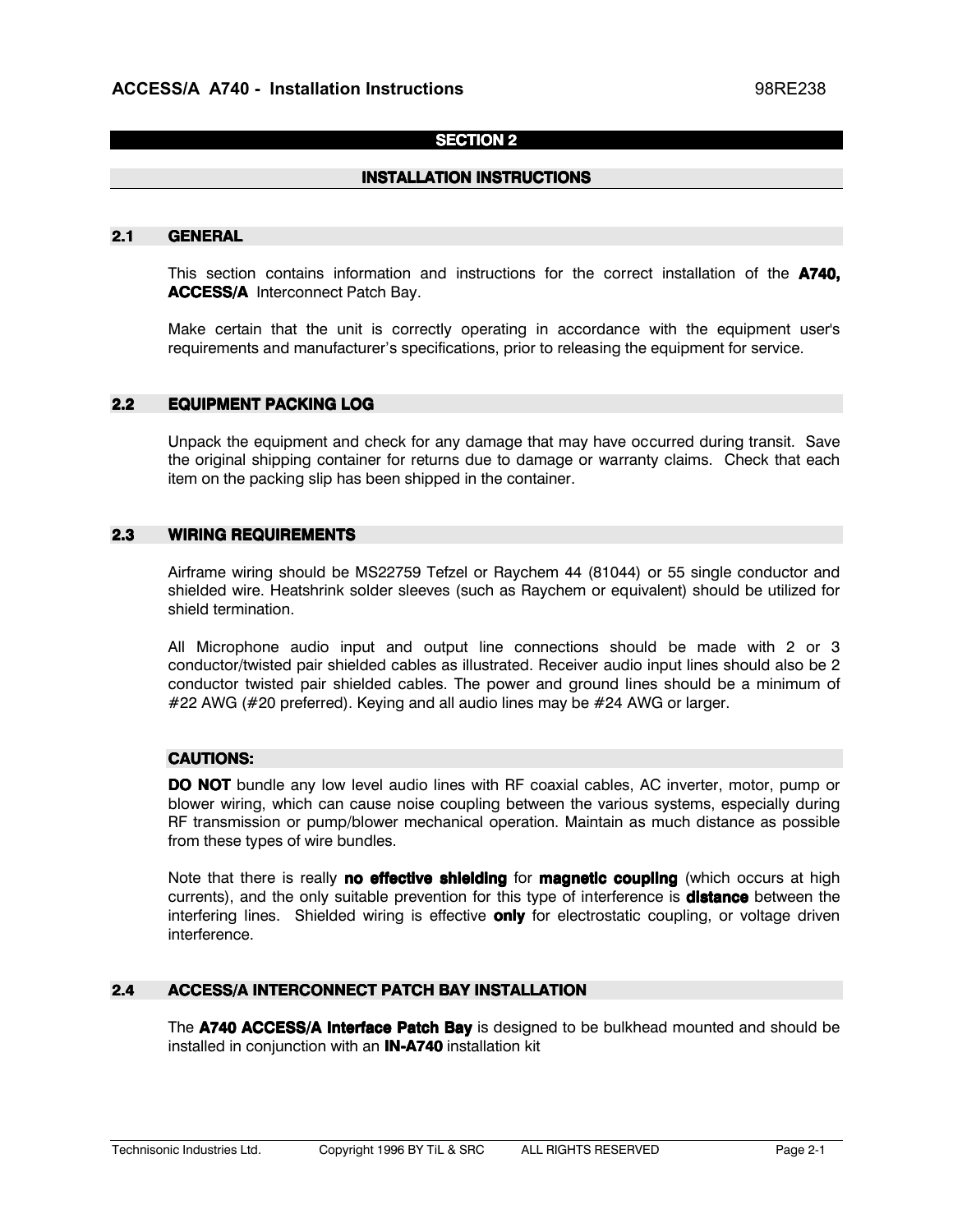### **SECTION 2**

### **INSTALLATION INSTRUCTIONS**

#### $2.1$ **GENERAL**

This section contains information and instructions for the correct installation of the A740, **ACCESS/A** Interconnect Patch Bay.

Make certain that the unit is correctly operating in accordance with the equipment user's requirements and manufacturer's specifications, prior to releasing the equipment for service.

#### $2.2$ **EQUIPMENT PACKING LOG**

Unpack the equipment and check for any damage that may have occurred during transit. Save the original shipping container for returns due to damage or warranty claims. Check that each item on the packing slip has been shipped in the container.

#### $2.3$ **WIRING REQUIREMENTS**

Airframe wiring should be MS22759 Tefzel or Raychem 44 (81044) or 55 single conductor and shielded wire. Heatshrink solder sleeves (such as Raychem or equivalent) should be utilized for shield termination.

All Microphone audio input and output line connections should be made with 2 or 3 conductor/twisted pair shielded cables as illustrated. Receiver audio input lines should also be 2 conductor twisted pair shielded cables. The power and ground lines should be a minimum of #22 AWG (#20 preferred). Keying and all audio lines may be #24 AWG or larger.

### **CAUTIONS:**

**DO NOT** bundle any low level audio lines with RF coaxial cables, AC inverter, motor, pump or blower wiring, which can cause noise coupling between the various systems, especially during RF transmission or pump/blower mechanical operation. Maintain as much distance as possible from these types of wire bundles.

Note that there is really **no effective shielding** for **magnetic coupling** (which occurs at high currents), and the only suitable prevention for this type of interference is **distance** between the interfering lines. Shielded wiring is effective **only** for electrostatic coupling, or voltage driven interference.

#### $2.4$ **ACCESS/A INTERCONNECT PATCH BAY INSTALLATION**

The A740 ACCESS/A Interface Patch Bay is designed to be bulkhead mounted and should be installed in conjunction with an **IN-A740** installation kit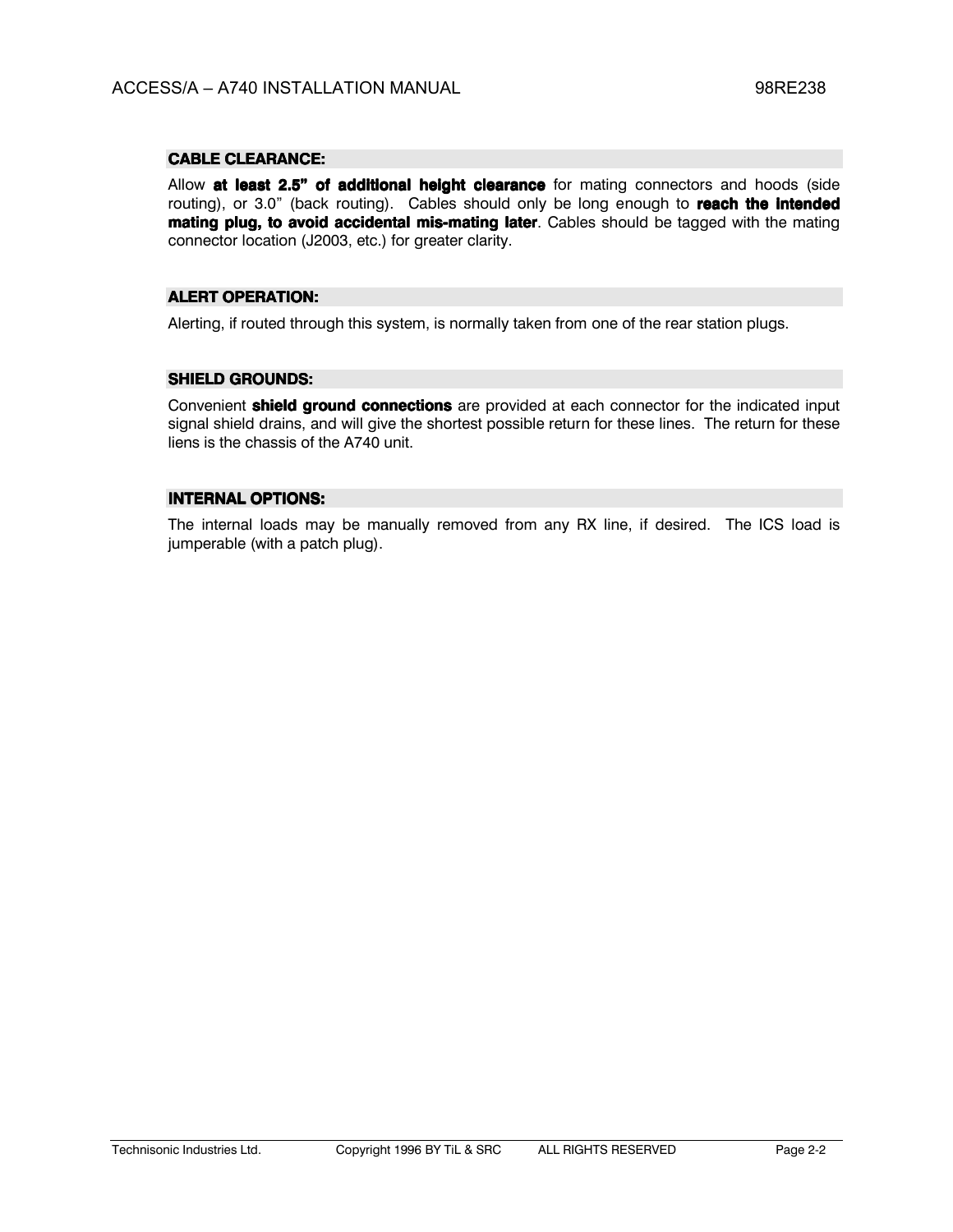### **CABLE CLEARANCE:**

Allow at least 2.5" of additional height clearance for mating connectors and hoods (side routing), or 3.0" (back routing). Cables should only be long enough to reach the intended mating plug, to avoid accidental mis-mating later. Cables should be tagged with the mating connector location (J2003, etc.) for greater clarity.

### **ALERT OPERATION:**

Alerting, if routed through this system, is normally taken from one of the rear station plugs.

### **SHIELD GROUNDS:**

Convenient **shield ground connections** are provided at each connector for the indicated input signal shield drains, and will give the shortest possible return for these lines. The return for these liens is the chassis of the A740 unit.

### **INTERNAL OPTIONS:**

The internal loads may be manually removed from any RX line, if desired. The ICS load is jumperable (with a patch plug).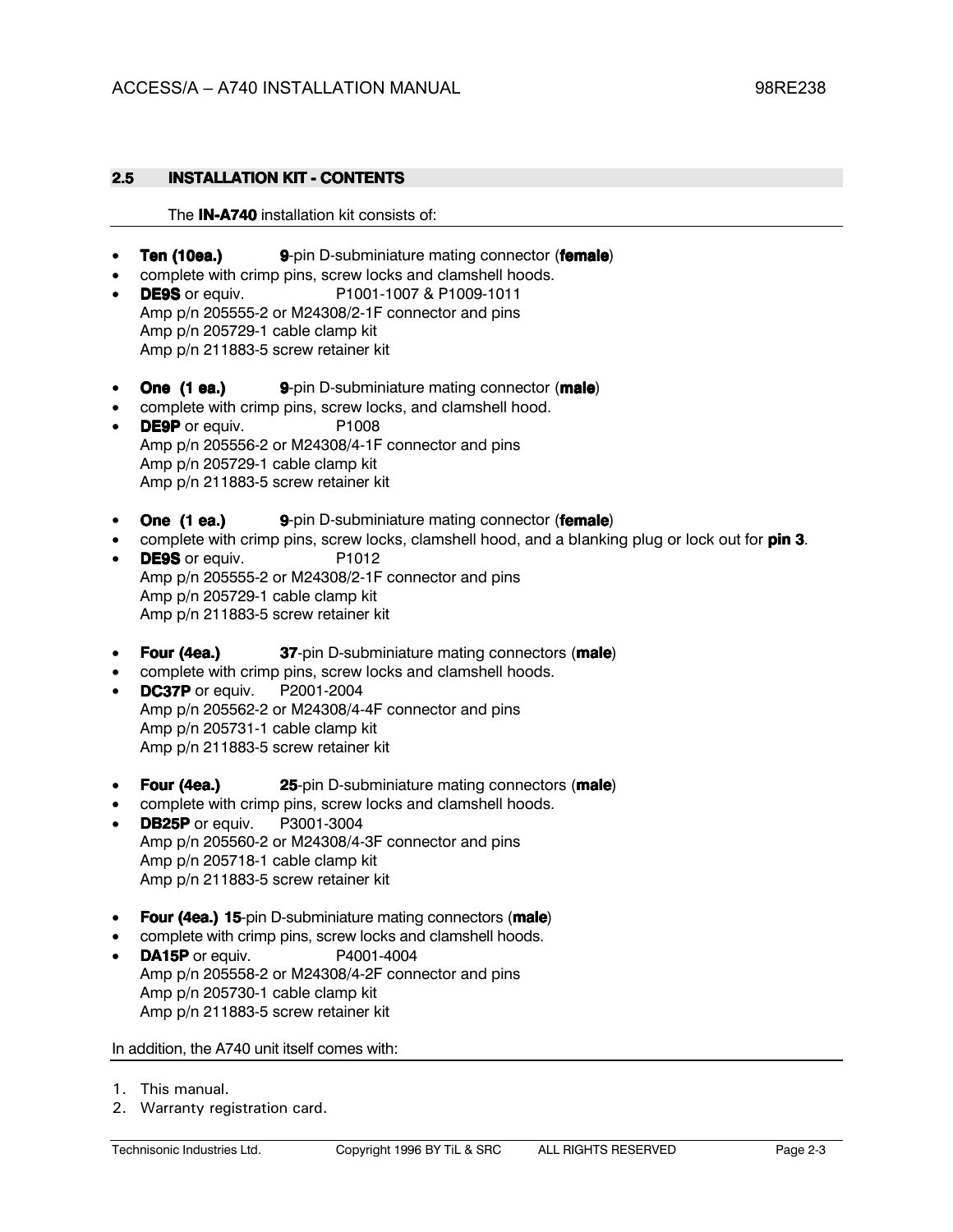#### $2.5$ **INSTALLATION KIT - CONTENTS**

### The IN-A740 installation kit consists of:

- **Ten (10ea.)** 9-pin D-subminiature mating connector (female)
- complete with crimp pins, screw locks and clamshell hoods.
- P1001-1007 & P1009-1011 • DE9S or equiv. Amp p/n 205555-2 or M24308/2-1F connector and pins Amp p/n 205729-1 cable clamp kit Amp p/n 211883-5 screw retainer kit
- One (1 ea.) 9-pin D-subminiature mating connector (male)
- complete with crimp pins, screw locks, and clamshell hood. • DE9P or equiv. P1008 Amp p/n 205556-2 or M24308/4-1F connector and pins
	- Amp p/n 205729-1 cable clamp kit Amp p/n 211883-5 screw retainer kit
- One (1 ea.) 9-pin D-subminiature mating connector (female)
- complete with crimp pins, screw locks, clamshell hood, and a blanking plug or lock out for pin 3.
- DE9S or equiv. P<sub>1012</sub> Amp p/n 205555-2 or M24308/2-1F connector and pins Amp p/n 205729-1 cable clamp kit Amp p/n 211883-5 screw retainer kit
- Four (4ea.) **37-pin D-subminiature mating connectors (male)**
- complete with crimp pins, screw locks and clamshell hoods.
- DC37P or equiv. P2001-2004 Amp p/n 205562-2 or M24308/4-4F connector and pins Amp p/n 205731-1 cable clamp kit Amp p/n 211883-5 screw retainer kit
- Four (4ea.) 25-pin D-subminiature mating connectors (male)
- complete with crimp pins, screw locks and clamshell hoods.
- DB25P or equiv. P3001-3004 Amp p/n 205560-2 or M24308/4-3F connector and pins Amp p/n 205718-1 cable clamp kit Amp p/n 211883-5 screw retainer kit
- Four (4ea.) 15-pin D-subminiature mating connectors (male)
- complete with crimp pins, screw locks and clamshell hoods.
- DA15P or equiv. P4001-4004 Amp p/n 205558-2 or M24308/4-2F connector and pins Amp p/n 205730-1 cable clamp kit Amp p/n 211883-5 screw retainer kit

### In addition, the A740 unit itself comes with:

- 1. This manual.
- 2. Warranty registration card.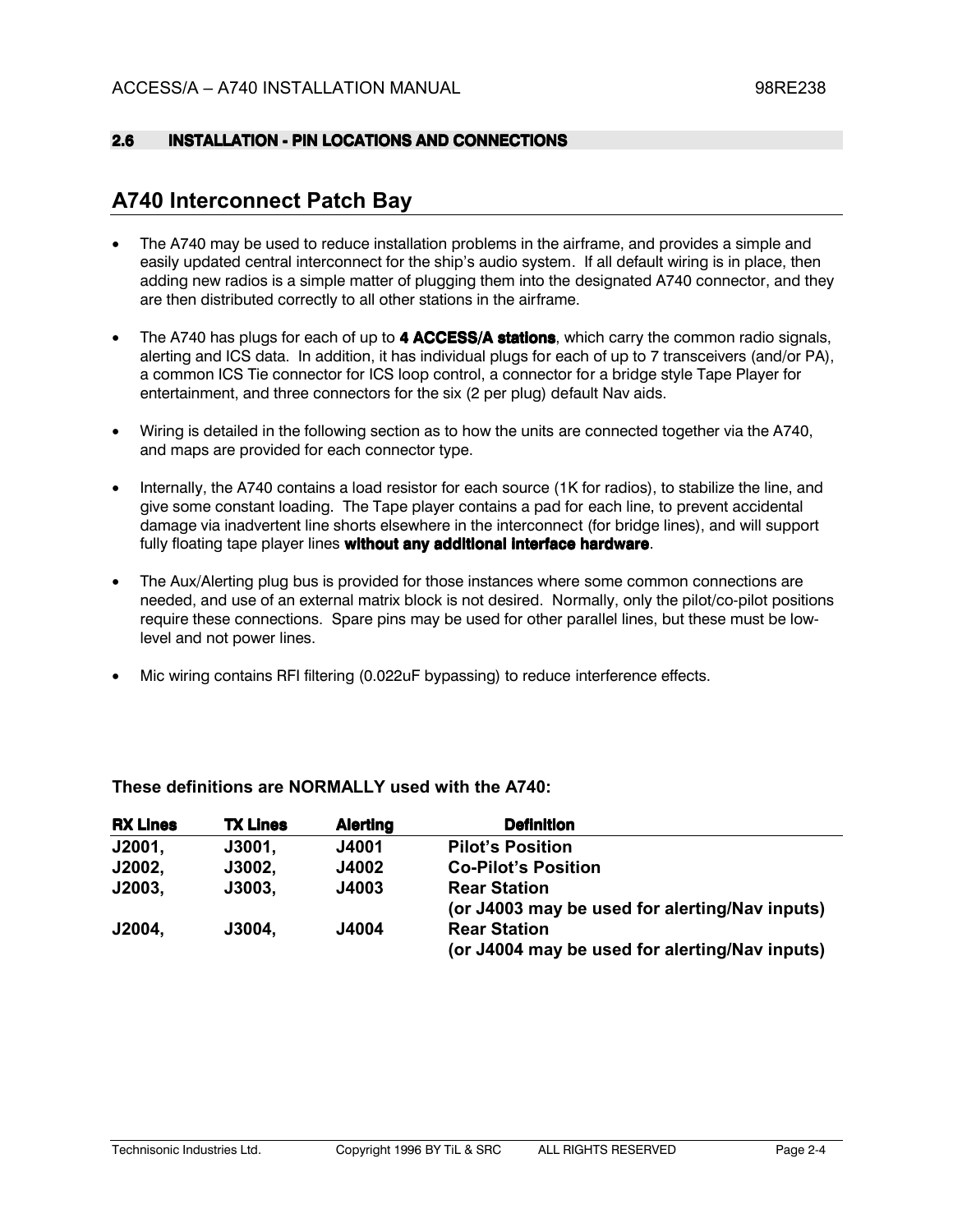#### $2.6$ **INSTALLATION - PIN LOCATIONS AND CONNECTIONS**

## **A740 Interconnect Patch Bay**

- The A740 may be used to reduce installation problems in the airframe, and provides a simple and easily updated central interconnect for the ship's audio system. If all default wiring is in place, then adding new radios is a simple matter of plugging them into the designated A740 connector, and they are then distributed correctly to all other stations in the airframe.
- The A740 has plugs for each of up to 4 ACCESS/A stations, which carry the common radio signals, alerting and ICS data. In addition, it has individual plugs for each of up to 7 transceivers (and/or PA), a common ICS Tie connector for ICS loop control, a connector for a bridge style Tape Player for entertainment, and three connectors for the six (2 per plug) default Nav aids.
- Wiring is detailed in the following section as to how the units are connected together via the A740, and maps are provided for each connector type.
- Internally, the A740 contains a load resistor for each source (1K for radios), to stabilize the line, and give some constant loading. The Tape player contains a pad for each line, to prevent accidental damage via inadvertent line shorts elsewhere in the interconnect (for bridge lines), and will support fully floating tape player lines without any additional interface hardware.
- The Aux/Alerting plug bus is provided for those instances where some common connections are needed, and use of an external matrix block is not desired. Normally, only the pilot/co-pilot positions require these connections. Spare pins may be used for other parallel lines, but these must be lowlevel and not power lines.
- Mic wiring contains RFI filtering (0.022uF bypassing) to reduce interference effects.

| <b>RX Lines</b> | <b>TX Lines</b> | <b>Alerting</b> | <b>Definition</b>                              |
|-----------------|-----------------|-----------------|------------------------------------------------|
| J2001,          | J3001,          | J4001           | <b>Pilot's Position</b>                        |
| J2002,          | J3002,          | <b>J4002</b>    | <b>Co-Pilot's Position</b>                     |
| J2003,          | J3003,          | J4003           | <b>Rear Station</b>                            |
|                 |                 |                 | (or J4003 may be used for alerting/Nav inputs) |
| J2004,          | J3004,          | J4004           | <b>Rear Station</b>                            |
|                 |                 |                 | (or J4004 may be used for alerting/Nav inputs) |

### These definitions are NORMALLY used with the A740: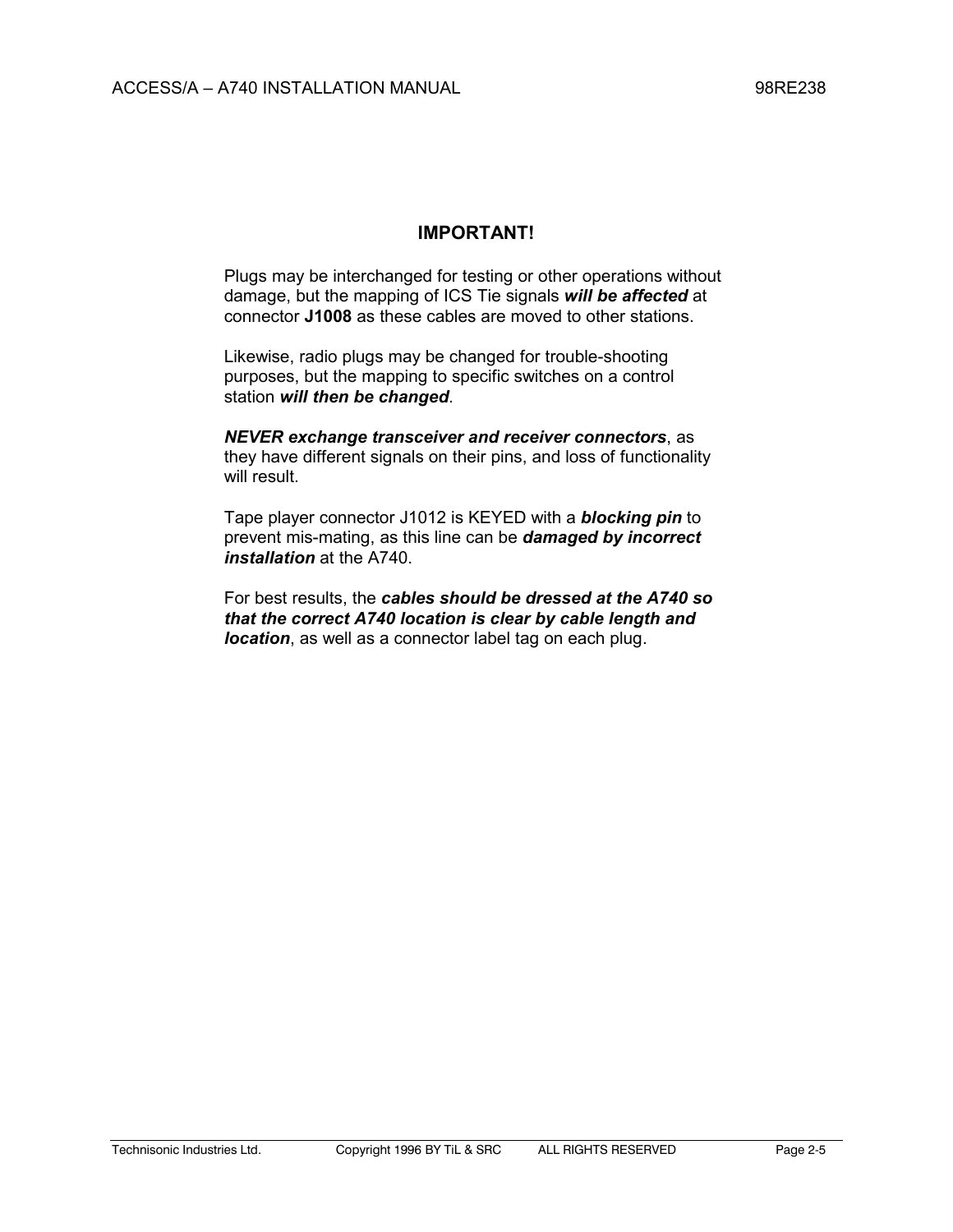### **IMPORTANT!**

Plugs may be interchanged for testing or other operations without damage, but the mapping of ICS Tie signals *will be affected* at connector **J1008** as these cables are moved to other stations.

Likewise, radio plugs may be changed for trouble-shooting purposes, but the mapping to specific switches on a control station *will then be changed*.

*NEVER exchange transceiver and receiver connectors*, as they have different signals on their pins, and loss of functionality will result.

Tape player connector J1012 is KEYED with a *blocking pin* to prevent mis-mating, as this line can be *damaged by incorrect installation* at the A740.

For best results, the *cables should be dressed at the A740 so that the correct A740 location is clear by cable length and location*, as well as a connector label tag on each plug.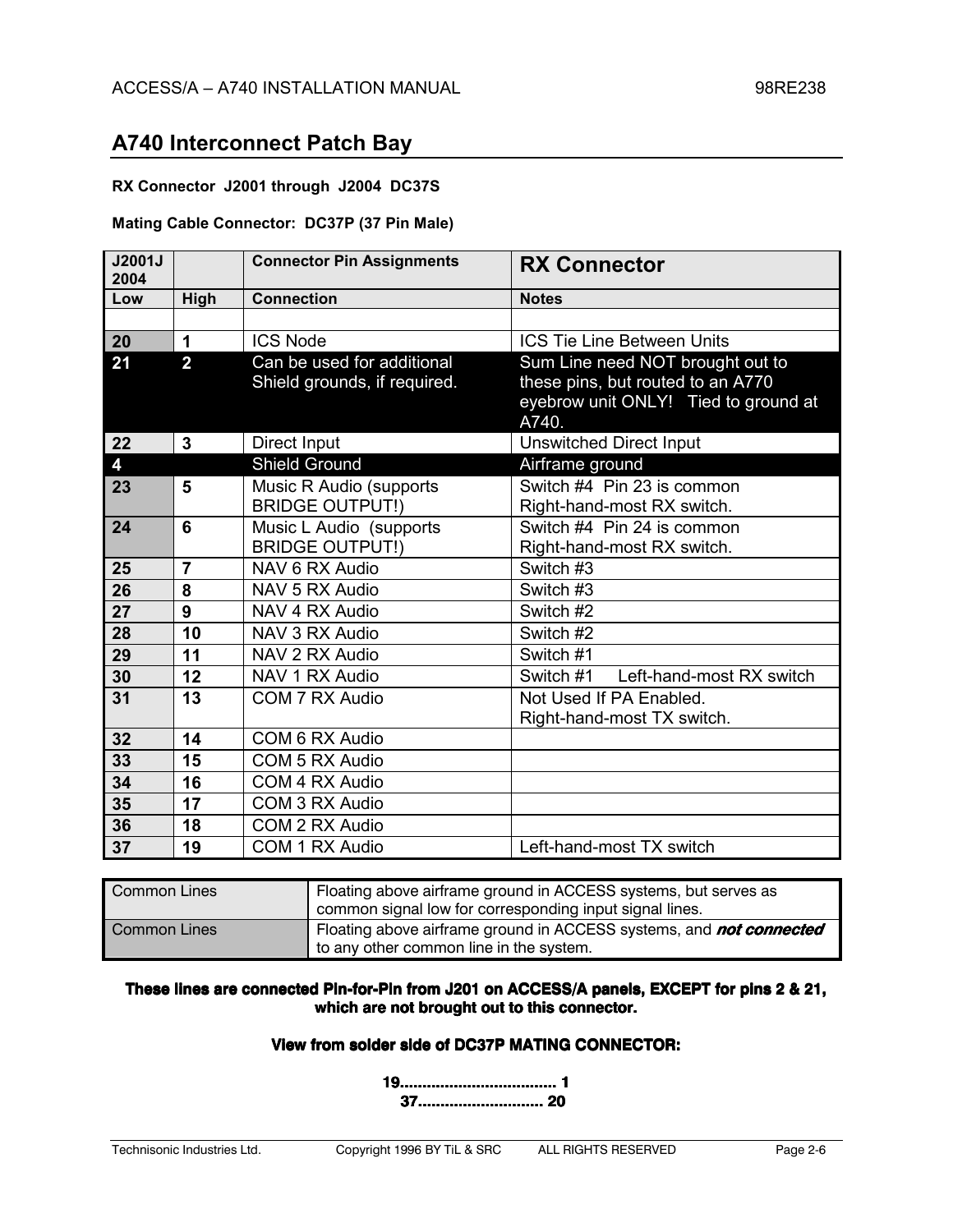### **RX Connector J2001 through J2004 DC37S**

### **Mating Cable Connector: DC37P (37 Pin Male)**

| J2001J<br>2004 |                | <b>Connector Pin Assignments</b>                           | <b>RX Connector</b>                                                                                                    |
|----------------|----------------|------------------------------------------------------------|------------------------------------------------------------------------------------------------------------------------|
| Low            | High           | <b>Connection</b>                                          | <b>Notes</b>                                                                                                           |
|                |                |                                                            |                                                                                                                        |
| 20             | 1              | <b>ICS Node</b>                                            | <b>ICS Tie Line Between Units</b>                                                                                      |
| 21             | $\overline{2}$ | Can be used for additional<br>Shield grounds, if required. | Sum Line need NOT brought out to<br>these pins, but routed to an A770<br>eyebrow unit ONLY! Tied to ground at<br>A740. |
| 22             | 3              | Direct Input                                               | <b>Unswitched Direct Input</b>                                                                                         |
| 4              |                | <b>Shield Ground</b>                                       | Airframe ground                                                                                                        |
| 23             | 5              | Music R Audio (supports                                    | Switch #4 Pin 23 is common                                                                                             |
|                |                | <b>BRIDGE OUTPUT!)</b>                                     | Right-hand-most RX switch.                                                                                             |
| 24             | 6              | Music L Audio (supports                                    | Switch #4 Pin 24 is common                                                                                             |
|                |                | <b>BRIDGE OUTPUT!)</b>                                     | Right-hand-most RX switch.                                                                                             |
| 25             | $\overline{7}$ | NAV 6 RX Audio                                             | Switch #3                                                                                                              |
| 26             | 8              | NAV 5 RX Audio                                             | Switch #3                                                                                                              |
| 27             | 9              | NAV 4 RX Audio                                             | Switch #2                                                                                                              |
| 28             | 10             | NAV 3 RX Audio                                             | Switch #2                                                                                                              |
| 29             | 11             | NAV 2 RX Audio                                             | Switch #1                                                                                                              |
| 30             | 12             | NAV 1 RX Audio                                             | Left-hand-most RX switch<br>Switch #1                                                                                  |
| 31             | 13             | COM 7 RX Audio                                             | Not Used If PA Enabled.                                                                                                |
|                |                |                                                            | Right-hand-most TX switch.                                                                                             |
| 32             | 14             | COM 6 RX Audio                                             |                                                                                                                        |
| 33             | 15             | COM 5 RX Audio                                             |                                                                                                                        |
| 34             | 16             | COM 4 RX Audio                                             |                                                                                                                        |
| 35             | 17             | COM 3 RX Audio                                             |                                                                                                                        |
| 36             | 18             | COM 2 RX Audio                                             |                                                                                                                        |
| 37             | 19             | COM 1 RX Audio                                             | Left-hand-most TX switch                                                                                               |

| Common Lines        | Floating above airframe ground in ACCESS systems, but serves as<br>common signal low for corresponding input signal lines. |
|---------------------|----------------------------------------------------------------------------------------------------------------------------|
| <b>Common Lines</b> | Floating above airframe ground in ACCESS systems, and <b>not connected</b><br>to any other common line in the system.      |

### These lines are connected Pin-for-Pin from J201 on ACCESS/A panels, EXCEPT for pins 2 & 21, which are not brought out to this connector.

### View from solder side of DC37P MATING CONNECTOR:

 37............................. 20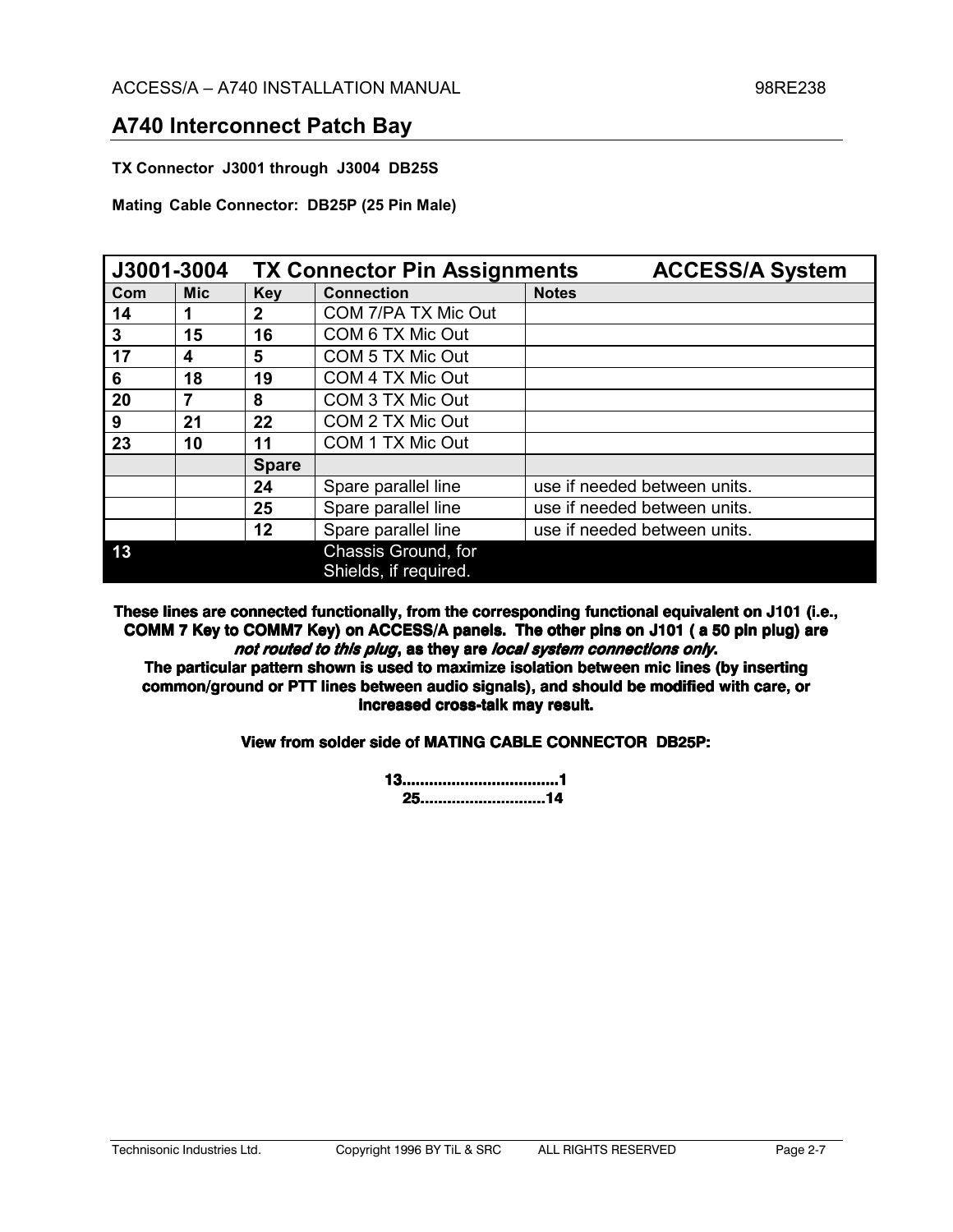**TX Connector J3001 through J3004 DB25S** 

**Mating Cable Connector: DB25P (25 Pin Male)**

| J3001-3004 |            |              | <b>TX Connector Pin Assignments</b>          | <b>ACCESS/A System</b>       |
|------------|------------|--------------|----------------------------------------------|------------------------------|
| Com        | <b>Mic</b> | <b>Key</b>   | <b>Connection</b>                            | <b>Notes</b>                 |
| 14         |            | $\mathbf{2}$ | COM 7/PA TX Mic Out                          |                              |
| 3          | 15         | 16           | COM 6 TX Mic Out                             |                              |
| 17         | 4          | 5            | COM 5 TX Mic Out                             |                              |
| 6          | 18         | 19           | COM 4 TX Mic Out                             |                              |
| 20         |            | 8            | COM 3 TX Mic Out                             |                              |
| 9          | 21         | 22           | COM 2 TX Mic Out                             |                              |
| 23         | 10         | 11           | COM 1 TX Mic Out                             |                              |
|            |            | <b>Spare</b> |                                              |                              |
|            |            | 24           | Spare parallel line                          | use if needed between units. |
|            |            | 25           | Spare parallel line                          | use if needed between units. |
|            |            | 12           | Spare parallel line                          | use if needed between units. |
| 13         |            |              | Chassis Ground, for<br>Shields, if required. |                              |

These lines are connected functionally, from the corresponding functional equivalent on J101 (i.e., COMM 7 Key to COMM7 Key) on ACCESS/A panels. The other pins on J101 (a 50 pin plug) are not routed to this plug, as they are local system connections only. The particular pattern shown is used to maximize isolation between mic lines (by inserting

common/ground or PTT lines between audio signals), and should be modified with care, or increased cross-talk may result.

View from solder side of MATING CABLE CONNECTOR DB25P:

 25.................................14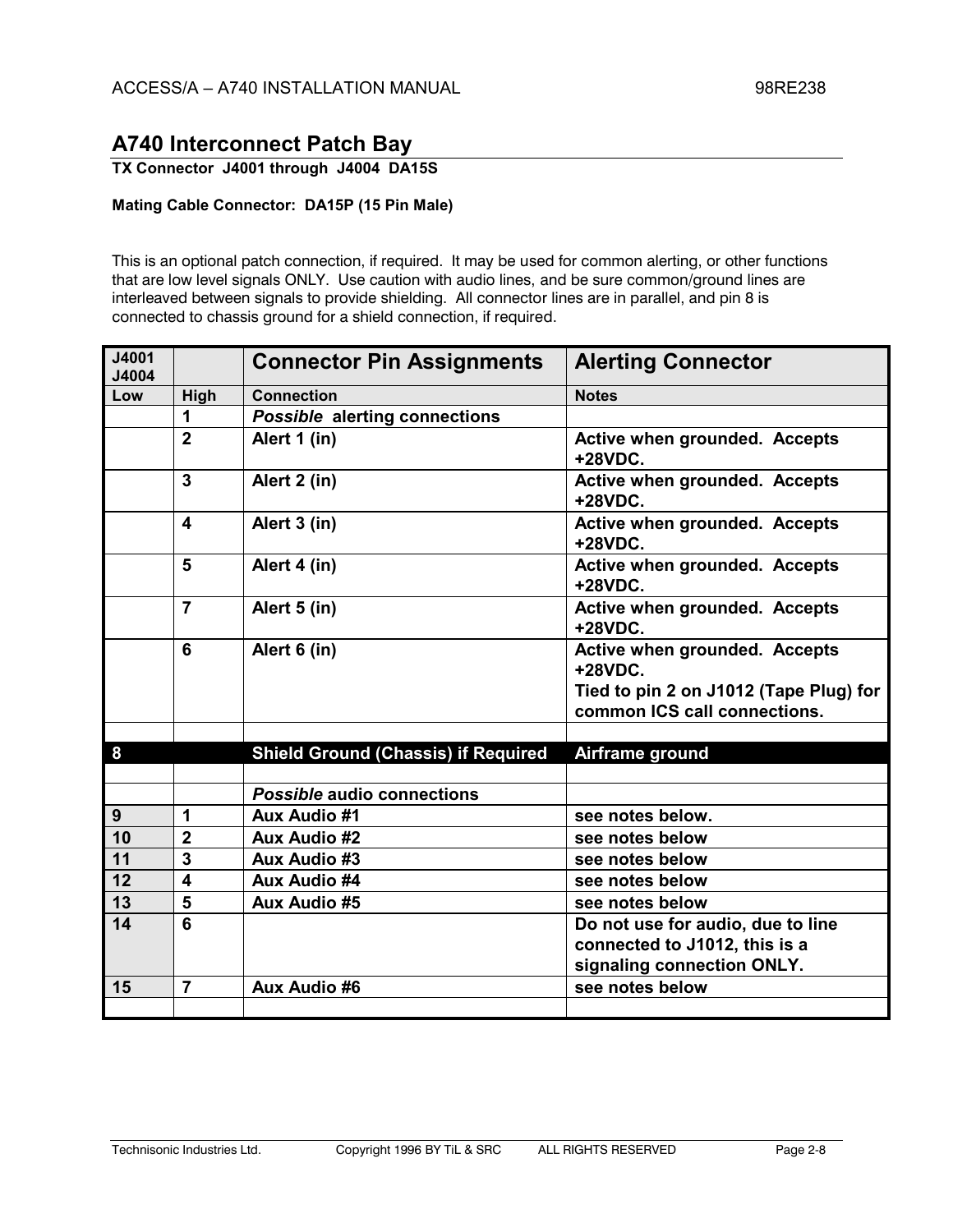**TX Connector J4001 through J4004 DA15S** 

### **Mating Cable Connector: DA15P (15 Pin Male)**

This is an optional patch connection, if required. It may be used for common alerting, or other functions that are low level signals ONLY. Use caution with audio lines, and be sure common/ground lines are interleaved between signals to provide shielding. All connector lines are in parallel, and pin 8 is connected to chassis ground for a shield connection, if required.

| J4001<br>J4004 |                         | <b>Connector Pin Assignments</b>           | <b>Alerting Connector</b>                                              |
|----------------|-------------------------|--------------------------------------------|------------------------------------------------------------------------|
| Low            | High                    | <b>Connection</b>                          | <b>Notes</b>                                                           |
|                | 1                       | <b>Possible alerting connections</b>       |                                                                        |
|                | $\overline{2}$          | Alert 1 (in)                               | <b>Active when grounded. Accepts</b><br>+28VDC.                        |
|                | $\mathbf{3}$            | Alert 2 (in)                               | <b>Active when grounded. Accepts</b><br>+28VDC.                        |
|                | 4                       | Alert 3 (in)                               | <b>Active when grounded. Accepts</b><br>+28VDC.                        |
|                | 5                       | Alert 4 (in)                               | Active when grounded. Accepts<br>+28VDC.                               |
|                | $\overline{7}$          | Alert 5 (in)                               | <b>Active when grounded. Accepts</b><br>+28VDC.                        |
|                | 6                       | Alert 6 (in)                               | <b>Active when grounded. Accepts</b><br>+28VDC.                        |
|                |                         |                                            | Tied to pin 2 on J1012 (Tape Plug) for<br>common ICS call connections. |
|                |                         |                                            |                                                                        |
| 8              |                         | <b>Shield Ground (Chassis) if Required</b> | Airframe ground                                                        |
|                |                         |                                            |                                                                        |
|                |                         | Possible audio connections                 |                                                                        |
| 9              | 1                       | <b>Aux Audio #1</b>                        | see notes below.                                                       |
| 10             | $\overline{2}$          | <b>Aux Audio #2</b>                        | see notes below                                                        |
| 11             | $\overline{\mathbf{3}}$ | Aux Audio #3                               | see notes below                                                        |
| 12             | $\overline{\mathbf{4}}$ | Aux Audio #4                               | see notes below                                                        |
| 13             | 5                       | <b>Aux Audio #5</b>                        | see notes below                                                        |
| 14             | 6                       |                                            | Do not use for audio, due to line                                      |
|                |                         |                                            | connected to J1012, this is a                                          |
|                |                         |                                            | signaling connection ONLY.                                             |
| 15             | $\overline{7}$          | <b>Aux Audio #6</b>                        | see notes below                                                        |
|                |                         |                                            |                                                                        |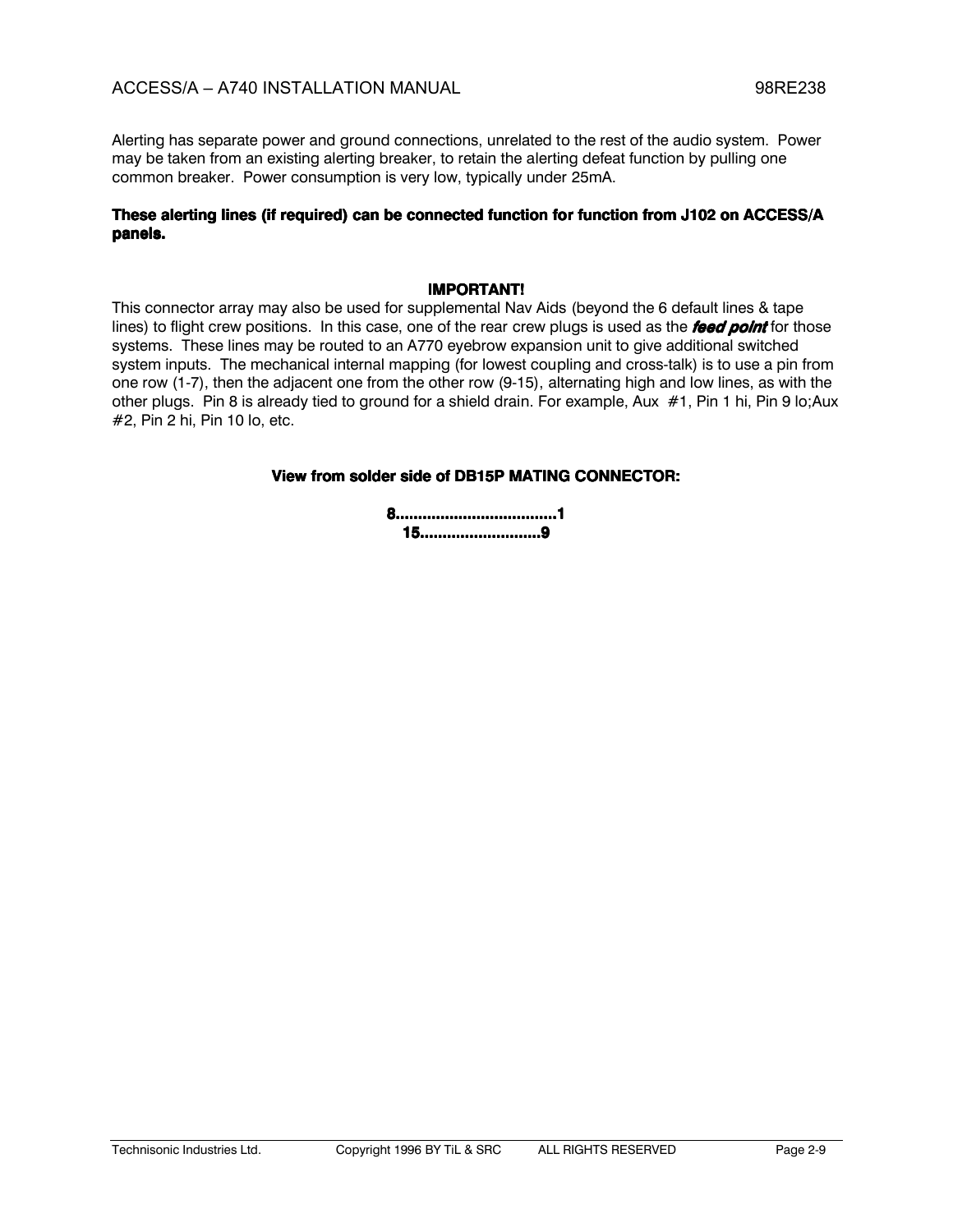Alerting has separate power and ground connections, unrelated to the rest of the audio system. Power may be taken from an existing alerting breaker, to retain the alerting defeat function by pulling one common breaker. Power consumption is very low, typically under 25mA.

### These alerting lines (if required) can be connected function for function from J102 on ACCESS/A panels.

### **IMPORTANT!**

This connector array may also be used for supplemental Nav Aids (beyond the 6 default lines & tape lines) to flight crew positions. In this case, one of the rear crew plugs is used as the feed point for those systems. These lines may be routed to an A770 eyebrow expansion unit to give additional switched system inputs. The mechanical internal mapping (for lowest coupling and cross-talk) is to use a pin from one row (1-7), then the adjacent one from the other row (9-15), alternating high and low lines, as with the other plugs. Pin 8 is already tied to ground for a shield drain. For example, Aux #1, Pin 1 hi, Pin 9 lo; Aux #2, Pin 2 hi, Pin 10 lo, etc.

### View from solder side of DB15P MATING CONNECTOR:

| ,,,,,,,,,,,,,,,,,,,,,, |
|------------------------|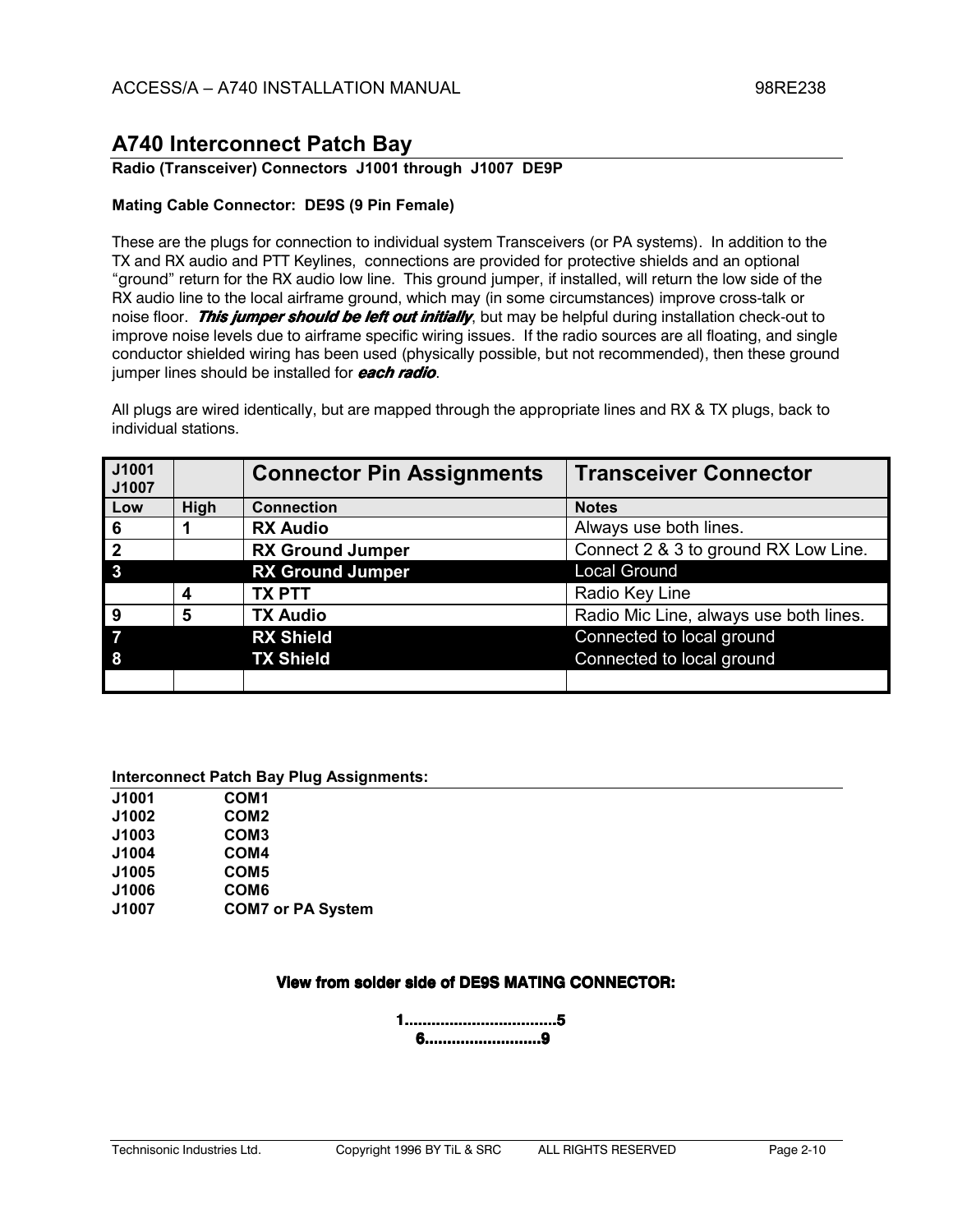### Radio (Transceiver) Connectors J1001 through J1007 DE9P

### Mating Cable Connector: DE9S (9 Pin Female)

These are the plugs for connection to individual system Transceivers (or PA systems). In addition to the TX and RX audio and PTT Keylines, connections are provided for protective shields and an optional "ground" return for the RX audio low line. This ground jumper, if installed, will return the low side of the RX audio line to the local airframe ground, which may (in some circumstances) improve cross-talk or noise floor. This jumper should be left out initially, but may be helpful during installation check-out to improve noise levels due to airframe specific wiring issues. If the radio sources are all floating, and single conductor shielded wiring has been used (physically possible, but not recommended), then these ground jumper lines should be installed for **each radio**.

All plugs are wired identically, but are mapped through the appropriate lines and RX & TX plugs, back to individual stations.

| J1001<br>J1007  |      | <b>Connector Pin Assignments</b> | <b>Transceiver Connector</b>           |
|-----------------|------|----------------------------------|----------------------------------------|
| Low             | High | <b>Connection</b>                | <b>Notes</b>                           |
| $6\phantom{1}6$ |      | <b>RX Audio</b>                  | Always use both lines.                 |
| $\overline{2}$  |      | <b>RX Ground Jumper</b>          | Connect 2 & 3 to ground RX Low Line.   |
| 3               |      | <b>RX Ground Jumper</b>          | <b>Local Ground</b>                    |
|                 | 4    | <b>TX PTT</b>                    | Radio Key Line                         |
| <b>9</b>        | 5    | <b>TX Audio</b>                  | Radio Mic Line, always use both lines. |
|                 |      | <b>RX Shield</b>                 | Connected to local ground              |
| 8               |      | <b>TX Shield</b>                 | Connected to local ground              |
|                 |      |                                  |                                        |

#### **Interconnect Patch Bay Plug Assignments:**

| J1001 | COM <sub>1</sub>         |
|-------|--------------------------|
| J1002 | COM <sub>2</sub>         |
| J1003 | COM <sub>3</sub>         |
| J1004 | COM4                     |
| J1005 | COM <sub>5</sub>         |
| J1006 | COM6                     |
| J1007 | <b>COM7 or PA System</b> |

### View from solder side of DE9S MATING CONNECTOR: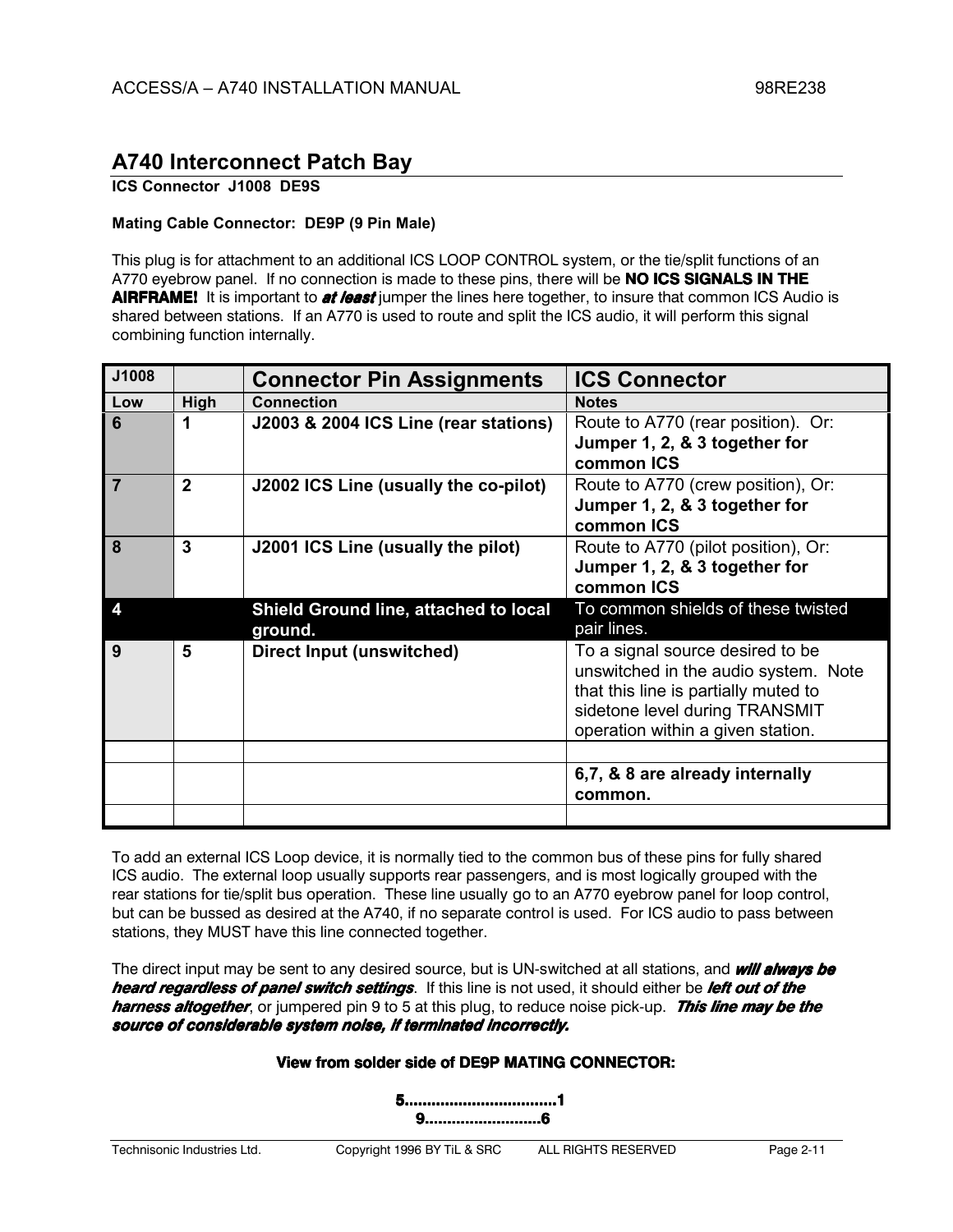### **ICS Connector J1008 DE9S**

### **Mating Cable Connector: DE9P (9 Pin Male)**

This plug is for attachment to an additional ICS LOOP CONTROL system, or the tie/split functions of an A770 eyebrow panel. If no connection is made to these pins, there will be **NO ICS SIGNALS IN THE** AIRFRAME! It is important to at least jumper the lines here together, to insure that common ICS Audio is shared between stations. If an A770 is used to route and split the ICS audio, it will perform this signal combining function internally.

| J1008                   |                | <b>Connector Pin Assignments</b>                 | <b>ICS Connector</b>                                                         |
|-------------------------|----------------|--------------------------------------------------|------------------------------------------------------------------------------|
| Low                     | High           | <b>Connection</b>                                | <b>Notes</b>                                                                 |
| 6                       | 1              | J2003 & 2004 ICS Line (rear stations)            | Route to A770 (rear position). Or:<br>Jumper 1, 2, & 3 together for          |
|                         |                |                                                  | common ICS                                                                   |
| $\overline{7}$          | $\overline{2}$ | J2002 ICS Line (usually the co-pilot)            | Route to A770 (crew position), Or:                                           |
|                         |                |                                                  | Jumper 1, 2, & 3 together for<br>common ICS                                  |
| 8                       | $\mathbf{3}$   | J2001 ICS Line (usually the pilot)               | Route to A770 (pilot position), Or:                                          |
|                         |                |                                                  | Jumper 1, 2, & 3 together for<br>common ICS                                  |
| $\overline{\mathbf{4}}$ |                |                                                  | To common shields of these twisted                                           |
|                         |                | Shield Ground line, attached to local<br>ground. | pair lines.                                                                  |
| 9                       | 5              | Direct Input (unswitched)                        | To a signal source desired to be                                             |
|                         |                |                                                  | unswitched in the audio system. Note<br>that this line is partially muted to |
|                         |                |                                                  | sidetone level during TRANSMIT                                               |
|                         |                |                                                  | operation within a given station.                                            |
|                         |                |                                                  |                                                                              |
|                         |                |                                                  | 6,7, & 8 are already internally                                              |
|                         |                |                                                  | common.                                                                      |
|                         |                |                                                  |                                                                              |

To add an external ICS Loop device, it is normally tied to the common bus of these pins for fully shared ICS audio. The external loop usually supports rear passengers, and is most logically grouped with the rear stations for tie/split bus operation. These line usually go to an A770 evebrow panel for loop control, but can be bussed as desired at the A740, if no separate control is used. For ICS audio to pass between stations, they MUST have this line connected together.

The direct input may be sent to any desired source, but is UN-switched at all stations, and **will always be** heard regardless of panel switch settings. If this line is not used, it should either be left out of the harness altogether, or jumpered pin 9 to 5 at this plug, to reduce noise pick-up. This line may be the source of considerable system noise, if terminated incorrectly.

### View from solder side of DE9P MATING CONNECTOR:

5...................................1 9.............................6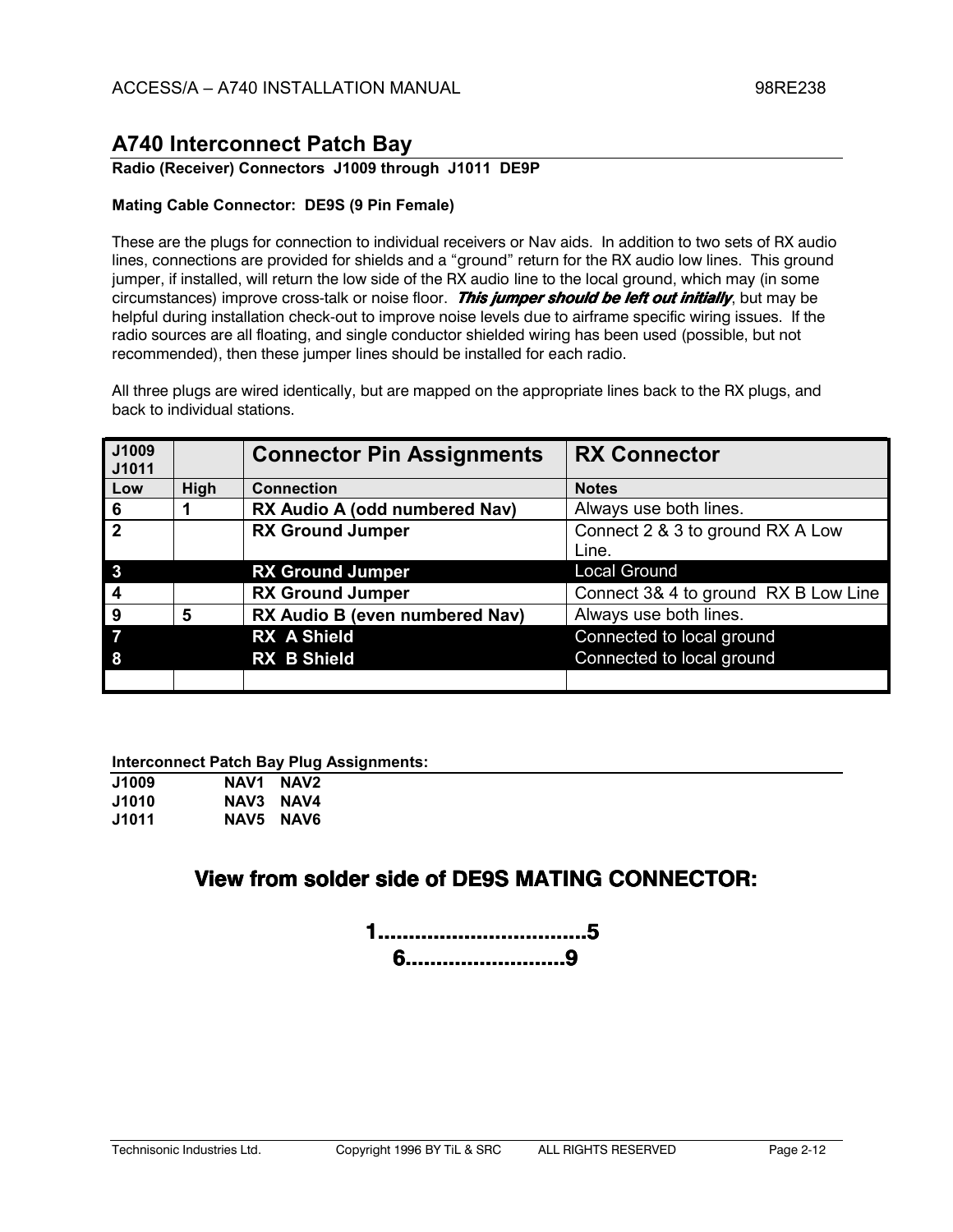### **Radio (Receiver) Connectors J1009 through J1011 DE9P**

### **Mating Cable Connector: DE9S (9 Pin Female)**

These are the plugs for connection to individual receivers or Nav aids. In addition to two sets of RX audio lines, connections are provided for shields and a "ground" return for the RX audio low lines. This ground jumper, if installed, will return the low side of the RX audio line to the local ground, which may (in some circumstances) improve cross-talk or noise floor. This jumper should be left out initially, but may be helpful during installation check-out to improve noise levels due to airframe specific wiring issues. If the radio sources are all floating, and single conductor shielded wiring has been used (possible, but not recommended), then these jumper lines should be installed for each radio.

All three plugs are wired identically, but are mapped on the appropriate lines back to the RX plugs, and back to individual stations.

| J1009<br>J1011   |      | <b>Connector Pin Assignments</b> | <b>RX Connector</b>                  |
|------------------|------|----------------------------------|--------------------------------------|
| Low              | High | <b>Connection</b>                | <b>Notes</b>                         |
| 6                |      | RX Audio A (odd numbered Nav)    | Always use both lines.               |
| $\overline{2}$   |      | <b>RX Ground Jumper</b>          | Connect 2 & 3 to ground RX A Low     |
|                  |      |                                  | Line.                                |
| $\mathbf{3}$     |      | <b>RX Ground Jumper</b>          | <b>Local Ground</b>                  |
| $\boldsymbol{4}$ |      | <b>RX Ground Jumper</b>          | Connect 3& 4 to ground RX B Low Line |
| 9                | 5    | RX Audio B (even numbered Nav)   | Always use both lines.               |
|                  |      | <b>RX A Shield</b>               | Connected to local ground            |
| 8                |      | <b>RX B Shield</b>               | Connected to local ground            |
|                  |      |                                  |                                      |

**Interconnect Patch Bay Plug Assignments:** 

| <b>J1009</b> | NAV1      | NAV <sub>2</sub> |  |
|--------------|-----------|------------------|--|
| <b>J1010</b> | NAV3 NAV4 |                  |  |
| J1011        |           | NAV5 NAV6        |  |

## View from solder side of DE9S MATING CONNECTOR: